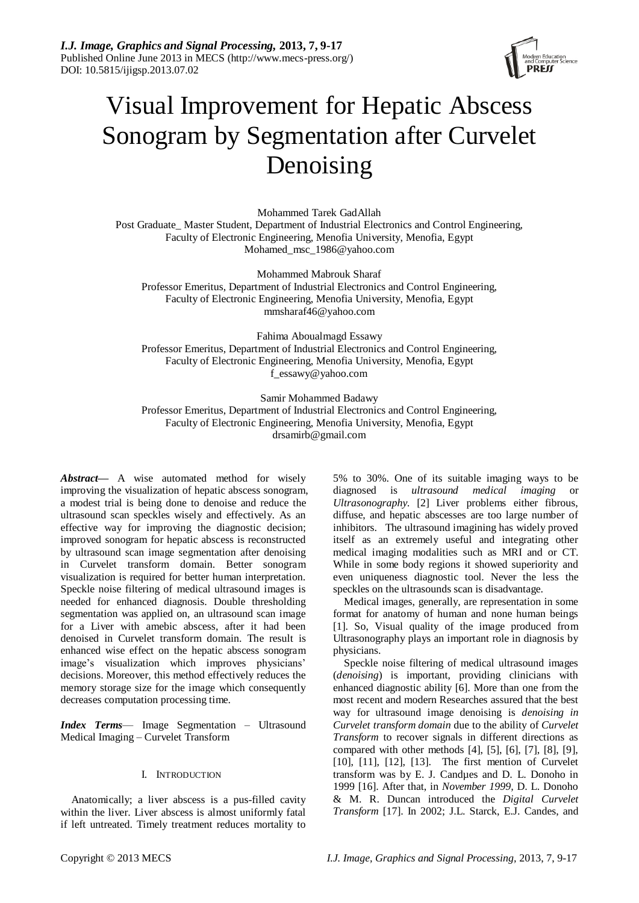

# Visual Improvement for Hepatic Abscess Sonogram by Segmentation after Curvelet Denoising

Mohammed Tarek GadAllah Post Graduate\_ Master Student, Department of Industrial Electronics and Control Engineering, Faculty of Electronic Engineering, Menofia University, Menofia, Egypt Mohamed\_msc\_1986@yahoo.com

Mohammed Mabrouk Sharaf Professor Emeritus, Department of Industrial Electronics and Control Engineering, Faculty of Electronic Engineering, Menofia University, Menofia, Egypt mmsharaf46@yahoo.com

Fahima Aboualmagd Essawy Professor Emeritus, Department of Industrial Electronics and Control Engineering, Faculty of Electronic Engineering, Menofia University, Menofia, Egypt f\_essawy@yahoo.com

Samir Mohammed Badawy

Professor Emeritus, Department of Industrial Electronics and Control Engineering, Faculty of Electronic Engineering, Menofia University, Menofia, Egypt drsamirb@gmail.com

*Abstract***—** A wise automated method for wisely improving the visualization of hepatic abscess sonogram, a modest trial is being done to denoise and reduce the ultrasound scan speckles wisely and effectively. As an effective way for improving the diagnostic decision; improved sonogram for hepatic abscess is reconstructed by ultrasound scan image segmentation after denoising in Curvelet transform domain. Better sonogram visualization is required for better human interpretation. Speckle noise filtering of medical ultrasound images is needed for enhanced diagnosis. Double thresholding segmentation was applied on, an ultrasound scan image for a Liver with amebic abscess, after it had been denoised in Curvelet transform domain. The result is enhanced wise effect on the hepatic abscess sonogram image's visualization which improves physicians' decisions. Moreover, this method effectively reduces the memory storage size for the image which consequently decreases computation processing time.

*Index Terms*— Image Segmentation – Ultrasound Medical Imaging – Curvelet Transform

# I. INTRODUCTION

Anatomically; a liver abscess is a pus-filled cavity within the liver. Liver abscess is almost uniformly fatal if left untreated. Timely treatment reduces mortality to

5% to 30%. One of its suitable imaging ways to be diagnosed is *ultrasound medical imaging* or *Ultrasonography.* [2] Liver problems either fibrous, diffuse, and hepatic abscesses are too large number of inhibitors. The ultrasound imagining has widely proved itself as an extremely useful and integrating other medical imaging modalities such as MRI and or CT. While in some body regions it showed superiority and even uniqueness diagnostic tool. Never the less the speckles on the ultrasounds scan is disadvantage.

Medical images, generally, are representation in some format for anatomy of human and none human beings [1]. So, Visual quality of the image produced from Ultrasonography plays an important role in diagnosis by physicians.

Speckle noise filtering of medical ultrasound images (*denoising*) is important, providing clinicians with enhanced diagnostic ability [6]. More than one from the most recent and modern Researches assured that the best way for ultrasound image denoising is *denoising in Curvelet transform domain* due to the ability of *Curvelet Transform* to recover signals in different directions as compared with other methods [4], [5], [6], [7], [8], [9], [10], [11], [12], [13]. The first mention of Curvelet transform was by E. J. Candµes and D. L. Donoho in 1999 [16]. After that, in *November 1999,* D. L. Donoho & M. R. Duncan introduced the *Digital Curvelet Transform* [17]. In 2002; J.L. Starck, E.J. Candes, and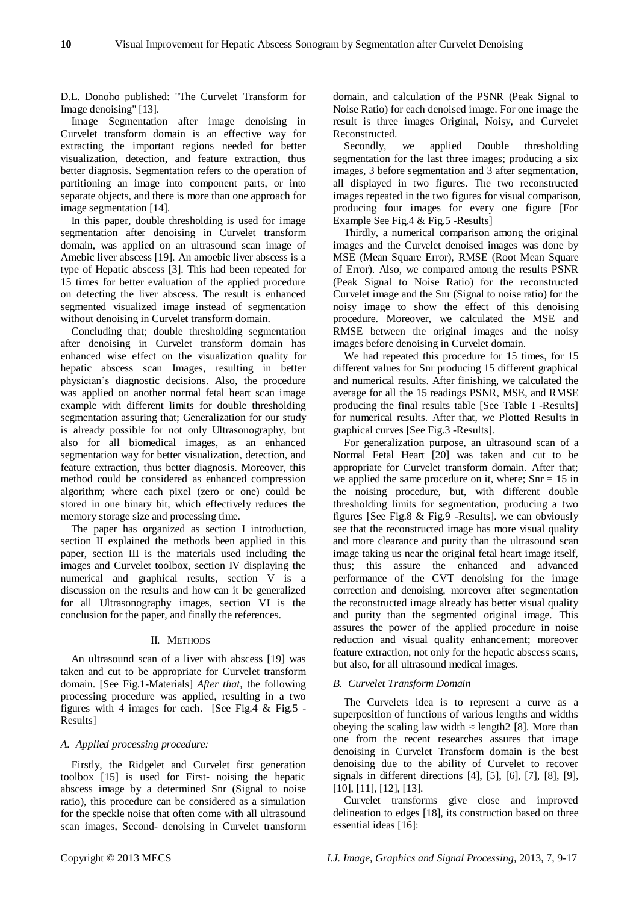D.L. Donoho published: "The Curvelet Transform for Image denoising" [13].

Image Segmentation after image denoising in Curvelet transform domain is an effective way for extracting the important regions needed for better visualization, detection, and feature extraction, thus better diagnosis. Segmentation refers to the operation of partitioning an image into component parts, or into separate objects, and there is more than one approach for image segmentation [14].

In this paper, double thresholding is used for image segmentation after denoising in Curvelet transform domain, was applied on an ultrasound scan image of Amebic liver abscess [19]. An amoebic liver abscess is a type of Hepatic abscess [3]. This had been repeated for 15 times for better evaluation of the applied procedure on detecting the liver abscess. The result is enhanced segmented visualized image instead of segmentation without denoising in Curvelet transform domain.

Concluding that; double thresholding segmentation after denoising in Curvelet transform domain has enhanced wise effect on the visualization quality for hepatic abscess scan Images, resulting in better physician's diagnostic decisions. Also, the procedure was applied on another normal fetal heart scan image example with different limits for double thresholding segmentation assuring that; Generalization for our study is already possible for not only Ultrasonography, but also for all biomedical images, as an enhanced segmentation way for better visualization, detection, and feature extraction, thus better diagnosis. Moreover, this method could be considered as enhanced compression algorithm; where each pixel (zero or one) could be stored in one binary bit, which effectively reduces the memory storage size and processing time.

The paper has organized as section I introduction, section II explained the methods been applied in this paper, section III is the materials used including the images and Curvelet toolbox, section IV displaying the numerical and graphical results, section V is a discussion on the results and how can it be generalized for all Ultrasonography images, section VI is the conclusion for the paper, and finally the references.

# II. METHODS

An ultrasound scan of a liver with abscess [19] was taken and cut to be appropriate for Curvelet transform domain. [See Fig.1-Materials] *After that,* the following processing procedure was applied, resulting in a two figures with 4 images for each. [See Fig.4  $\&$  Fig.5 -Results]

# *A. Applied processing procedure:*

Firstly, the Ridgelet and Curvelet first generation toolbox [15] is used for First- noising the hepatic abscess image by a determined Snr (Signal to noise ratio), this procedure can be considered as a simulation for the speckle noise that often come with all ultrasound scan images, Second- denoising in Curvelet transform domain, and calculation of the PSNR (Peak Signal to Noise Ratio) for each denoised image. For one image the result is three images Original, Noisy, and Curvelet Reconstructed.

Secondly, we applied Double thresholding segmentation for the last three images; producing a six images, 3 before segmentation and 3 after segmentation, all displayed in two figures. The two reconstructed images repeated in the two figures for visual comparison, producing four images for every one figure [For Example See Fig.4 & Fig.5 -Results]

Thirdly, a numerical comparison among the original images and the Curvelet denoised images was done by MSE (Mean Square Error), RMSE (Root Mean Square of Error). Also, we compared among the results PSNR (Peak Signal to Noise Ratio) for the reconstructed Curvelet image and the Snr (Signal to noise ratio) for the noisy image to show the effect of this denoising procedure. Moreover, we calculated the MSE and RMSE between the original images and the noisy images before denoising in Curvelet domain.

We had repeated this procedure for 15 times, for 15 different values for Snr producing 15 different graphical and numerical results. After finishing, we calculated the average for all the 15 readings PSNR, MSE, and RMSE producing the final results table [See Table I -Results] for numerical results. After that, we Plotted Results in graphical curves [See Fig.3 -Results].

For generalization purpose, an ultrasound scan of a Normal Fetal Heart [20] was taken and cut to be appropriate for Curvelet transform domain. After that; we applied the same procedure on it, where;  $Snr = 15$  in the noising procedure, but, with different double thresholding limits for segmentation, producing a two figures [See Fig.8 & Fig.9 -Results]. we can obviously see that the reconstructed image has more visual quality and more clearance and purity than the ultrasound scan image taking us near the original fetal heart image itself, thus; this assure the enhanced and advanced performance of the CVT denoising for the image correction and denoising, moreover after segmentation the reconstructed image already has better visual quality and purity than the segmented original image. This assures the power of the applied procedure in noise reduction and visual quality enhancement; moreover feature extraction, not only for the hepatic abscess scans, but also, for all ultrasound medical images.

# *B. Curvelet Transform Domain*

The Curvelets idea is to represent a curve as a superposition of functions of various lengths and widths obeying the scaling law width  $\approx$  length2 [8]. More than one from the recent researches assures that image denoising in Curvelet Transform domain is the best denoising due to the ability of Curvelet to recover signals in different directions [4], [5], [6], [7], [8], [9], [10], [11], [12], [13].

Curvelet transforms give close and improved delineation to edges [18], its construction based on three essential ideas [16]: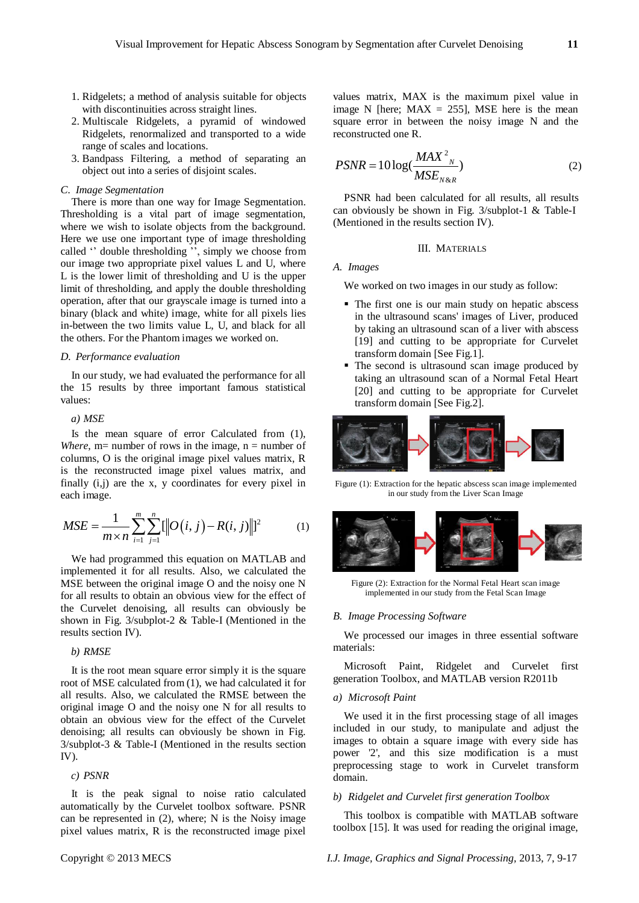- 1. Ridgelets; a method of analysis suitable for objects with discontinuities across straight lines.
- 2. Multiscale Ridgelets, a pyramid of windowed Ridgelets, renormalized and transported to a wide range of scales and locations.
- 3. Bandpass Filtering, a method of separating an object out into a series of disjoint scales.

#### *C. Image Segmentation*

There is more than one way for Image Segmentation. Thresholding is a vital part of image segmentation, where we wish to isolate objects from the background. Here we use one important type of image thresholding called " double thresholding ", simply we choose from our image two appropriate pixel values L and U, where L is the lower limit of thresholding and U is the upper limit of thresholding, and apply the double thresholding operation, after that our grayscale image is turned into a binary (black and white) image, white for all pixels lies in-between the two limits value L, U, and black for all the others. For the Phantom images we worked on.

## *D. Performance evaluation*

In our study, we had evaluated the performance for all the 15 results by three important famous statistical values:

## *a) MSE*

Is the mean square of error Calculated from (1), *Where*, m= number of rows in the image,  $n =$  number of columns, O is the original image pixel values matrix, R is the reconstructed image pixel values matrix, and finally (i,j) are the x, y coordinates for every pixel in each image.

each image.  
\n
$$
MSE = \frac{1}{m \times n} \sum_{i=1}^{m} \sum_{j=1}^{n} [[O(i, j) - R(i, j)]]^{2}
$$
\n(1)

We had programmed this equation on MATLAB and implemented it for all results. Also, we calculated the MSE between the original image O and the noisy one N for all results to obtain an obvious view for the effect of the Curvelet denoising, all results can obviously be shown in Fig. 3/subplot-2 & Table-I (Mentioned in the results section IV).

## *b) RMSE*

It is the root mean square error simply it is the square root of MSE calculated from (1), we had calculated it for all results. Also, we calculated the RMSE between the original image O and the noisy one N for all results to obtain an obvious view for the effect of the Curvelet denoising; all results can obviously be shown in Fig. 3/subplot-3 & Table-I (Mentioned in the results section IV).

#### *c) PSNR*

It is the peak signal to noise ratio calculated automatically by the Curvelet toolbox software. PSNR can be represented in (2), where; N is the Noisy image pixel values matrix, R is the reconstructed image pixel

values matrix, MAX is the maximum pixel value in image N [here;  $MAX = 255$ ], MSE here is the mean square error in between the noisy image N and the reconstructed one R.

$$
PSNR = 10\log(\frac{MAX^{2}^{N}}{MSE_{N\&R}})
$$
\n(2)

PSNR had been calculated for all results, all results can obviously be shown in Fig. 3/subplot-1 & Table-I (Mentioned in the results section IV).

#### III. MATERIALS

#### *A. Images*

We worked on two images in our study as follow:

- The first one is our main study on hepatic abscess in the ultrasound scans' images of Liver, produced by taking an ultrasound scan of a liver with abscess [19] and cutting to be appropriate for Curvelet transform domain [See Fig.1].
- The second is ultrasound scan image produced by taking an ultrasound scan of a Normal Fetal Heart [20] and cutting to be appropriate for Curvelet transform domain [See Fig.2].

$$
\frac{1}{\sqrt{2}}\left|\frac{1}{\sqrt{2}}\right|\left|\frac{1}{\sqrt{2}}\right|\left|\frac{1}{\sqrt{2}}\right|\left|\frac{1}{\sqrt{2}}\right|\left|\frac{1}{\sqrt{2}}\right|\left|\frac{1}{\sqrt{2}}\right|\left|\frac{1}{\sqrt{2}}\right|\left|\frac{1}{\sqrt{2}}\right|\left|\frac{1}{\sqrt{2}}\right|\left|\frac{1}{\sqrt{2}}\right|\left|\frac{1}{\sqrt{2}}\right|\left|\frac{1}{\sqrt{2}}\right|\left|\frac{1}{\sqrt{2}}\right|\left|\frac{1}{\sqrt{2}}\right|\left|\frac{1}{\sqrt{2}}\right|\left|\frac{1}{\sqrt{2}}\right|\left|\frac{1}{\sqrt{2}}\right|\left|\frac{1}{\sqrt{2}}\right|\left|\frac{1}{\sqrt{2}}\right|\left|\frac{1}{\sqrt{2}}\right|\left|\frac{1}{\sqrt{2}}\right|\left|\frac{1}{\sqrt{2}}\right|\left|\frac{1}{\sqrt{2}}\right|\left|\frac{1}{\sqrt{2}}\right|\left|\frac{1}{\sqrt{2}}\right|\left|\frac{1}{\sqrt{2}}\right|\left|\frac{1}{\sqrt{2}}\right|\left|\frac{1}{\sqrt{2}}\right|\left|\frac{1}{\sqrt{2}}\right|\left|\frac{1}{\sqrt{2}}\right|\left|\frac{1}{\sqrt{2}}\right|\left|\frac{1}{\sqrt{2}}\right|\left|\frac{1}{\sqrt{2}}\right|\left|\frac{1}{\sqrt{2}}\right|\left|\frac{1}{\sqrt{2}}\right|\left|\frac{1}{\sqrt{2}}\right|\left|\frac{1}{\sqrt{2}}\right|\left|\frac{1}{\sqrt{2}}\right|\left|\frac{1}{\sqrt{2}}\right|\left|\frac{1}{\sqrt{2}}\right|\left|\frac{1}{\sqrt{2}}\right|\left|\frac{1}{\sqrt{2}}\right|\left|\frac{1}{\sqrt{2}}\right|\left|\frac{1}{\sqrt{2}}\right|\left|\frac{1}{\sqrt{2}}\right|\left|\frac{1}{\sqrt{2}}\right|\left|\frac{1}{\sqrt{2}}\right|\left|\frac{1}{\sqrt{2}}\right|\left|\frac{1}{\sqrt{2}}\right|\left|\frac{1}{\sqrt{2}}\right|\left|\frac{1}{\sqrt{2}}\right|\left|\frac{1}{\sqrt{2}}\right|\left|\frac{1}{\sqrt{2}}\right|\left|\frac{1}{\
$$

Figure (1): Extraction for the hepatic abscess scan image implemented in our study from the Liver Scan Image



Figure (2): Extraction for the Normal Fetal Heart scan image implemented in our study from the Fetal Scan Image

#### *B. Image Processing Software*

We processed our images in three essential software materials:

Microsoft Paint, Ridgelet and Curvelet first generation Toolbox, and MATLAB version R2011b

# *a) Microsoft Paint*

We used it in the first processing stage of all images included in our study, to manipulate and adjust the images to obtain a square image with every side has power '2', and this size modification is a must preprocessing stage to work in Curvelet transform domain.

#### *b) Ridgelet and Curvelet first generation Toolbox*

This toolbox is compatible with MATLAB software toolbox [15]. It was used for reading the original image,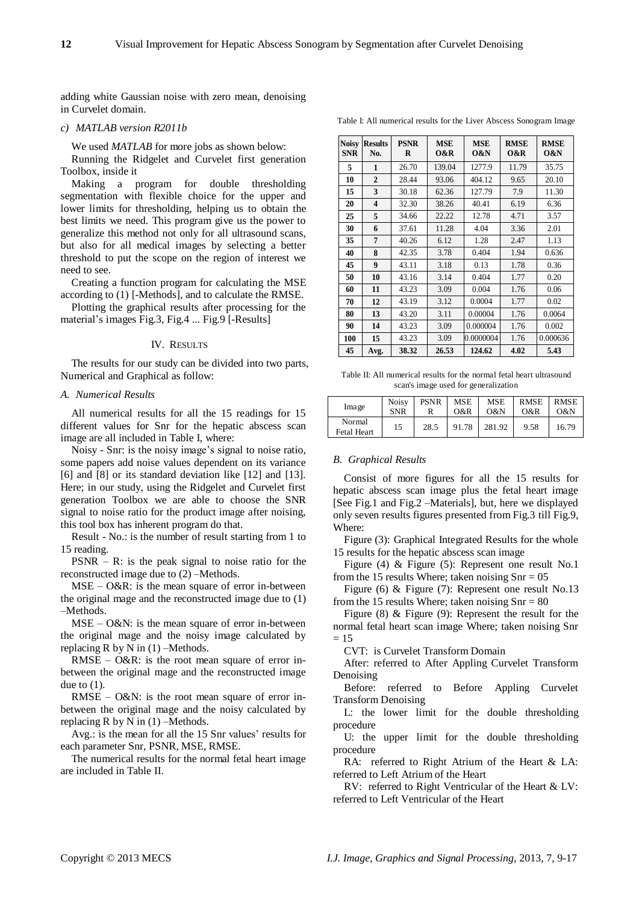adding white Gaussian noise with zero mean, denoising in Curvelet domain.

#### *c) MATLAB version R2011b*

We used *MATLAB* for more jobs as shown below: Running the Ridgelet and Curvelet first generation Toolbox, inside it

Making a program for double thresholding segmentation with flexible choice for the upper and lower limits for thresholding, helping us to obtain the best limits we need. This program give us the power to generalize this method not only for all ultrasound scans, but also for all medical images by selecting a better threshold to put the scope on the region of interest we need to see.

Creating a function program for calculating the MSE according to (1) [-Methods], and to calculate the RMSE.

Plotting the graphical results after processing for the material's images Fig.3, Fig.4 ... Fig.9 [-Results]

#### IV. RESULTS

The results for our study can be divided into two parts, Numerical and Graphical as follow:

## *A. Numerical Results*

All numerical results for all the 15 readings for 15 different values for Snr for the hepatic abscess scan image are all included in Table I, where:

Noisy - Snr: is the noisy image's signal to noise ratio, some papers add noise values dependent on its variance [6] and [8] or its standard deviation like [12] and [13]. Here; in our study, using the Ridgelet and Curvelet first generation Toolbox we are able to choose the SNR signal to noise ratio for the product image after noising, this tool box has inherent program do that.

Result - No.: is the number of result starting from 1 to 15 reading.

 $PSNR - R$ : is the peak signal to noise ratio for the reconstructed image due to (2) –Methods.

MSE – O&R: is the mean square of error in-between the original mage and the reconstructed image due to (1) –Methods.

 $MSE - O&N$ : is the mean square of error in-between the original mage and the noisy image calculated by replacing R by N in  $(1)$  –Methods.

RMSE – O&R: is the root mean square of error inbetween the original mage and the reconstructed image due to  $(1)$ .

RMSE – O&N: is the root mean square of error inbetween the original mage and the noisy calculated by replacing R by N in  $(1)$  –Methods.

Avg.: is the mean for all the 15 Snr values' results for each parameter Snr, PSNR, MSE, RMSE.

The numerical results for the normal fetal heart image are included in Table II.

Table I: All numerical results for the Liver Abscess Sonogram Image

| <b>Noisy</b><br><b>SNR</b> | <b>Results</b><br>No. | <b>PSNR</b><br>R | <b>MSE</b><br>0&R | <b>MSE</b><br>0&N | <b>RMSE</b><br>0&R | <b>RMSE</b><br>0&N |
|----------------------------|-----------------------|------------------|-------------------|-------------------|--------------------|--------------------|
| 5                          | 1                     | 26.70            | 139.04            | 1277.9            | 11.79              | 35.75              |
| 10                         | $\mathbf{2}$          | 28.44            | 93.06             | 404.12            | 9.65               | 20.10              |
| 15                         | 3                     | 30.18            | 62.36             | 127.79            | 7.9                | 11.30              |
| 20                         | 4                     | 32.30            | 38.26             | 40.41             | 6.19               | 6.36               |
| 25                         | 5                     | 34.66            | 22.22             | 12.78             | 4.71               | 3.57               |
| 30                         | 6                     | 37.61            | 11.28             | 4.04              | 3.36               | 2.01               |
| 35                         | 7                     | 40.26            | 6.12              | 1.28              | 2.47               | 1.13               |
| 40                         | 8                     | 42.35            | 3.78              | 0.404             | 1.94               | 0.636              |
| 45                         | 9                     | 43.11            | 3.18              | 0.13              | 1.78               | 0.36               |
| 50                         | 10                    | 43.16            | 3.14              | 0.404             | 1.77               | 0.20               |
| 60                         | 11                    | 43.23            | 3.09              | 0.004             | 1.76               | 0.06               |
| 70                         | 12                    | 43.19            | 3.12              | 0.0004            | 1.77               | 0.02               |
| 80                         | 13                    | 43.20            | 3.11              | 0.00004           | 1.76               | 0.0064             |
| 90                         | 14                    | 43.23            | 3.09              | 0.000004          | 1.76               | 0.002              |
| 100                        | 15                    | 43.23            | 3.09              | 0.0000004         | 1.76               | 0.000636           |
| 45                         | Avg.                  | 38.32            | 26.53             | 124.62            | 4.02               | 5.43               |

Table II: All numerical results for the normal fetal heart ultrasound scan's image used for generalization

| Image                        | <b>Noisy</b> | <b>PSNR</b> | MSE   | <b>MSE</b> | <b>RMSE</b> | <b>RMSE</b> |
|------------------------------|--------------|-------------|-------|------------|-------------|-------------|
|                              | <b>SNR</b>   | R           | 0&R   | O&N        | O&R         | 0&N         |
| Normal<br><b>Fetal Heart</b> | 15           | 28.5        | 91.78 | 281.92     | 9.58        | 16.79       |

## *B. Graphical Results*

Consist of more figures for all the 15 results for hepatic abscess scan image plus the fetal heart image [See Fig.1 and Fig.2 –Materials], but, here we displayed only seven results figures presented from Fig.3 till Fig.9, Where:

Figure (3): Graphical Integrated Results for the whole 15 results for the hepatic abscess scan image

Figure (4) & Figure (5): Represent one result No.1 from the 15 results Where; taken noising  $Snr = 05$ 

Figure (6) & Figure (7): Represent one result No.13 from the 15 results Where; taken noising  $Snr = 80$ 

Figure (8) & Figure (9): Represent the result for the normal fetal heart scan image Where; taken noising Snr  $= 15$ 

CVT: is Curvelet Transform Domain

After: referred to After Appling Curvelet Transform Denoising

Before: referred to Before Appling Curvelet Transform Denoising

L: the lower limit for the double thresholding procedure

U: the upper limit for the double thresholding procedure

RA: referred to Right Atrium of the Heart & LA: referred to Left Atrium of the Heart

RV: referred to Right Ventricular of the Heart & LV: referred to Left Ventricular of the Heart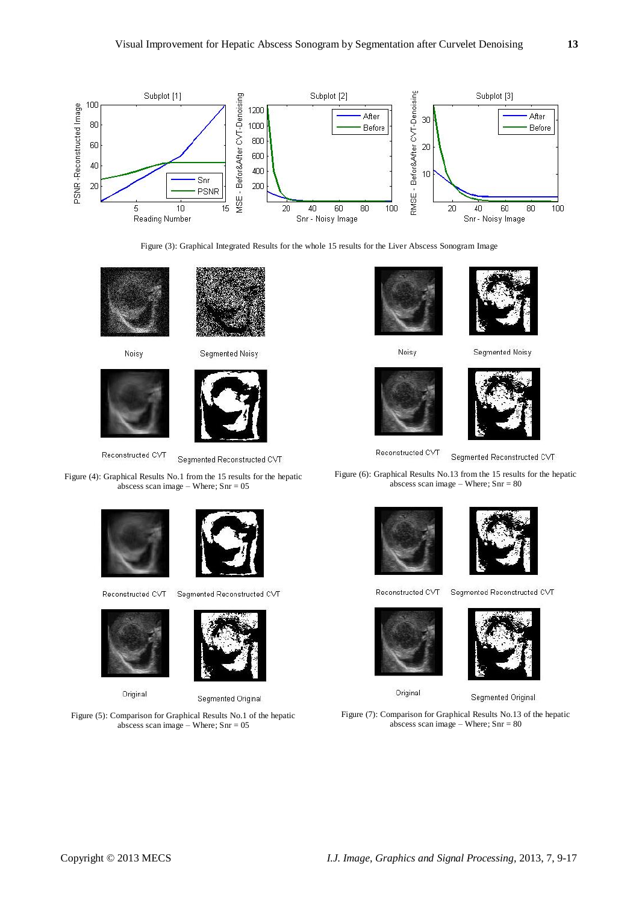

Figure (3): Graphical Integrated Results for the whole 15 results for the Liver Abscess Sonogram Image





Noisy





Reconstructed CVT

Segmented Reconstructed CVT

Figure (4): Graphical Results No.1 from the 15 results for the hepatic abscess scan image – Where;  $Snr = 05$ 







Original



Segmented Reconstructed CVT



Segmented Original

Figure (5): Comparison for Graphical Results No.1 of the hepatic abscess scan image – Where;  $Snr = 05$ 



Noisy





Segmented Noisy



Reconstructed CVT

Segmented Reconstructed CVT

Figure (6): Graphical Results No.13 from the 15 results for the hepatic abscess scan image – Where; Snr = 80





Reconstructed CVT

Segmented Reconstructed CVT





Original

Segmented Original

Figure (7): Comparison for Graphical Results No.13 of the hepatic abscess scan image – Where; Snr = 80

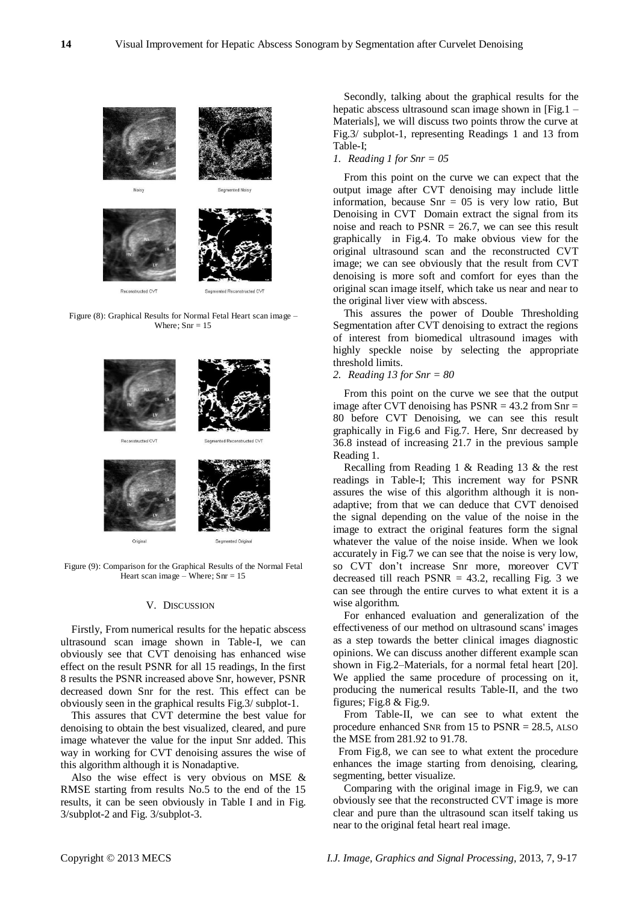

Reconstructed CVT







Figure (9): Comparison for the Graphical Results of the Normal Fetal Heart scan image – Where;  $Sm = 15$ 

# V. DISCUSSION

Firstly, From numerical results for the hepatic abscess ultrasound scan image shown in Table-I, we can obviously see that CVT denoising has enhanced wise effect on the result PSNR for all 15 readings, In the first 8 results the PSNR increased above Snr, however, PSNR decreased down Snr for the rest. This effect can be obviously seen in the graphical results Fig.3/ subplot-1.

This assures that CVT determine the best value for denoising to obtain the best visualized, cleared, and pure image whatever the value for the input Snr added. This way in working for CVT denoising assures the wise of this algorithm although it is Nonadaptive.

Also the wise effect is very obvious on MSE & RMSE starting from results No.5 to the end of the 15 results, it can be seen obviously in Table I and in Fig. 3/subplot-2 and Fig. 3/subplot-3.

Secondly, talking about the graphical results for the hepatic abscess ultrasound scan image shown in [Fig.1 – Materials], we will discuss two points throw the curve at Fig.3/ subplot-1, representing Readings 1 and 13 from Table-I;

# *1. Reading 1 for Snr = 05*

From this point on the curve we can expect that the output image after CVT denoising may include little information, because  $Snr = 05$  is very low ratio, But Denoising in CVT Domain extract the signal from its noise and reach to PSNR = 26.7, we can see this result graphically in Fig.4. To make obvious view for the original ultrasound scan and the reconstructed CVT image; we can see obviously that the result from CVT denoising is more soft and comfort for eyes than the original scan image itself, which take us near and near to the original liver view with abscess.

This assures the power of Double Thresholding Segmentation after CVT denoising to extract the regions of interest from biomedical ultrasound images with highly speckle noise by selecting the appropriate threshold limits.

# *2. Reading 13 for Snr = 80*

From this point on the curve we see that the output image after CVT denoising has  $PSNR = 43.2$  from  $Snr =$ 80 before CVT Denoising, we can see this result graphically in Fig.6 and Fig.7. Here, Snr decreased by 36.8 instead of increasing 21.7 in the previous sample Reading 1.

Recalling from Reading 1 & Reading 13 & the rest readings in Table-I; This increment way for PSNR assures the wise of this algorithm although it is nonadaptive; from that we can deduce that CVT denoised the signal depending on the value of the noise in the image to extract the original features form the signal whatever the value of the noise inside. When we look accurately in Fig.7 we can see that the noise is very low, so CVT don't increase Snr more, moreover CVT decreased till reach  $PSNR = 43.2$ , recalling Fig. 3 we can see through the entire curves to what extent it is a wise algorithm.

For enhanced evaluation and generalization of the effectiveness of our method on ultrasound scans' images as a step towards the better clinical images diagnostic opinions. We can discuss another different example scan shown in Fig.2–Materials, for a normal fetal heart [20]. We applied the same procedure of processing on it, producing the numerical results Table-II, and the two figures; Fig.8 & Fig.9.

From Table-II, we can see to what extent the procedure enhanced SNR from 15 to PSNR = 28.5, ALSO the MSE from 281.92 to 91.78.

From Fig.8, we can see to what extent the procedure enhances the image starting from denoising, clearing, segmenting, better visualize.

Comparing with the original image in Fig.9, we can obviously see that the reconstructed CVT image is more clear and pure than the ultrasound scan itself taking us near to the original fetal heart real image.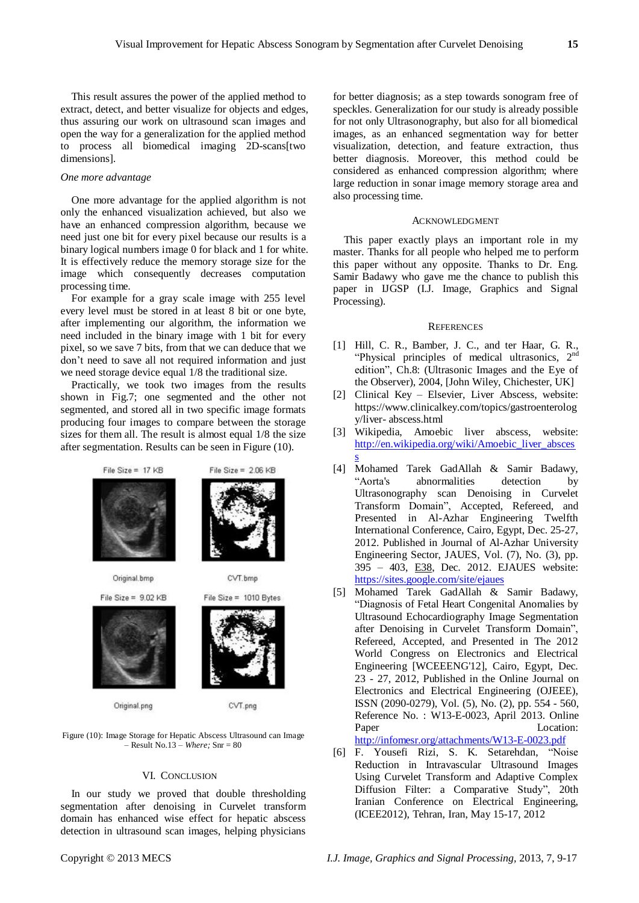This result assures the power of the applied method to extract, detect, and better visualize for objects and edges, thus assuring our work on ultrasound scan images and open the way for a generalization for the applied method to process all biomedical imaging 2D-scans[two dimensions].

## *One more advantage*

One more advantage for the applied algorithm is not only the enhanced visualization achieved, but also we have an enhanced compression algorithm, because we need just one bit for every pixel because our results is a binary logical numbers image 0 for black and 1 for white. It is effectively reduce the memory storage size for the image which consequently decreases computation processing time.

For example for a gray scale image with 255 level every level must be stored in at least 8 bit or one byte, after implementing our algorithm, the information we need included in the binary image with 1 bit for every pixel, so we save 7 bits, from that we can deduce that we don't need to save all not required information and just we need storage device equal 1/8 the traditional size.

Practically, we took two images from the results shown in Fig.7; one segmented and the other not segmented, and stored all in two specific image formats producing four images to compare between the storage sizes for them all. The result is almost equal 1/8 the size after segmentation. Results can be seen in Figure (10).



Figure (10): Image Storage for Hepatic Abscess Ultrasound can Image – Result No.13 – *Where;* Snr = 80

#### VI. CONCLUSION

In our study we proved that double thresholding segmentation after denoising in Curvelet transform domain has enhanced wise effect for hepatic abscess detection in ultrasound scan images, helping physicians

for better diagnosis; as a step towards sonogram free of speckles. Generalization for our study is already possible for not only Ultrasonography, but also for all biomedical images, as an enhanced segmentation way for better visualization, detection, and feature extraction, thus better diagnosis. Moreover, this method could be considered as enhanced compression algorithm; where large reduction in sonar image memory storage area and also processing time.

#### ACKNOWLEDGMENT

This paper exactly plays an important role in my master. Thanks for all people who helped me to perform this paper without any opposite. Thanks to Dr. Eng. Samir Badawy who gave me the chance to publish this paper in IJGSP (I.J. Image, Graphics and Signal Processing).

#### **REFERENCES**

- [1] Hill, C. R., Bamber, J. C., and ter Haar, G. R., "Physical principles of medical ultrasonics,  $2<sup>nd</sup>$ edition", Ch.8: (Ultrasonic Images and the Eye of the Observer), 2004, [John Wiley, Chichester, UK]
- [2] Clinical Key Elsevier, Liver Abscess, website: https://www.clinicalkey.com/topics/gastroenterolog y/liver- abscess.html
- [3] Wikipedia, Amoebic liver abscess, website: [http://en.wikipedia.org/wiki/Amoebic\\_liver\\_absces](http://en.wikipedia.org/wiki/Amoebic_liver_abscess) [s](http://en.wikipedia.org/wiki/Amoebic_liver_abscess)
- [4] Mohamed Tarek GadAllah & Samir Badawy, "Aorta's abnormalities detection by Ultrasonography scan Denoising in Curvelet Transform Domain", Accepted, Refereed, and Presented in Al-Azhar Engineering Twelfth International Conference, Cairo, Egypt, Dec. 25-27, 2012. Published in Journal of Al-Azhar University Engineering Sector, JAUES, Vol. (7), No. (3), pp. 395 – 403, E38, Dec. 2012. EJAUES website: <https://sites.google.com/site/ejaues>
- [5] Mohamed Tarek GadAllah & Samir Badawy, ―Diagnosis of Fetal Heart Congenital Anomalies by Ultrasound Echocardiography Image Segmentation after Denoising in Curvelet Transform Domain". Refereed, Accepted, and Presented in The 2012 World Congress on Electronics and Electrical Engineering [WCEEENG'12], Cairo, Egypt, Dec. 23 - 27, 2012, Published in the Online Journal on Electronics and Electrical Engineering (OJEEE), ISSN (2090-0279), Vol. (5), No. (2), pp. 554 - 560, Reference No. : W13-E-0023, April 2013. Online Paper Location:

<http://infomesr.org/attachments/W13-E-0023.pdf>

[6] F. Yousefi Rizi, S. K. Setarehdan, "Noise Reduction in Intravascular Ultrasound Images Using Curvelet Transform and Adaptive Complex Diffusion Filter: a Comparative Study", 20th Iranian Conference on Electrical Engineering, (ICEE2012), Tehran, Iran, May 15-17, 2012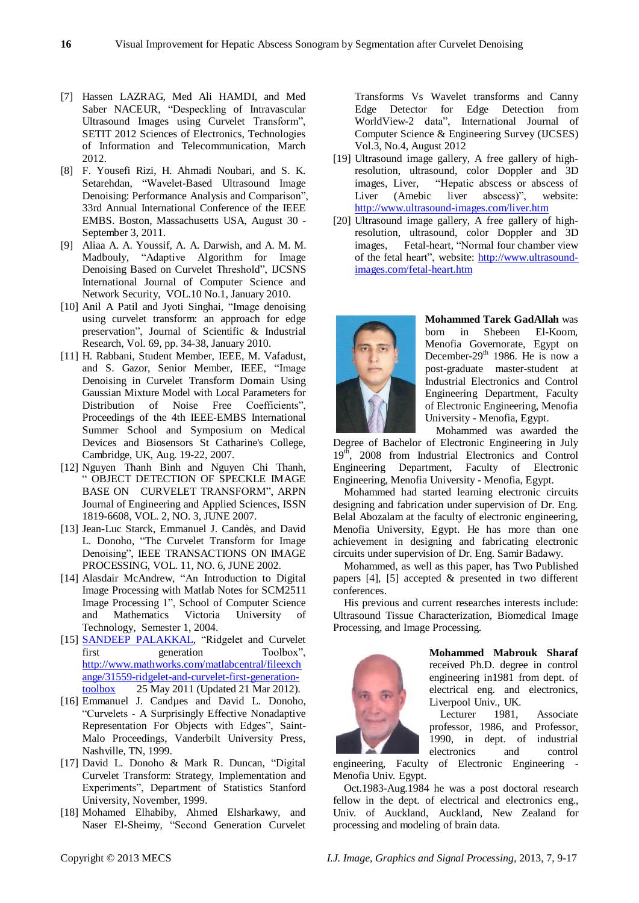- [7] Hassen LAZRAG, Med Ali HAMDI, and Med Saber NACEUR, "Despeckling of Intravascular Ultrasound Images using Curvelet Transform", SETIT 2012 Sciences of Electronics, Technologies of Information and Telecommunication, March 2012.
- [8] F. Yousefi Rizi, H. Ahmadi Noubari, and S. K. Setarehdan, "Wavelet-Based Ultrasound Image Denoising: Performance Analysis and Comparison", 33rd Annual International Conference of the IEEE EMBS. Boston, Massachusetts USA, August 30 - September 3, 2011.
- [9] Aliaa A. A. Youssif, A. A. Darwish, and A. M. M. Madbouly, "Adaptive Algorithm for Image Denoising Based on Curvelet Threshold", IJCSNS International Journal of Computer Science and Network Security, VOL.10 No.1, January 2010.
- [10] Anil A Patil and Jyoti Singhai, "Image denoising using curvelet transform: an approach for edge preservation‖, Journal of Scientific & Industrial Research, Vol. 69, pp. 34-38, January 2010.
- [11] H. Rabbani, Student Member, IEEE, M. Vafadust, and S. Gazor, Senior Member, IEEE, "Image Denoising in Curvelet Transform Domain Using Gaussian Mixture Model with Local Parameters for Distribution of Noise Free Coefficients", Proceedings of the 4th IEEE-EMBS International Summer School and Symposium on Medical Devices and Biosensors St Catharine's College, Cambridge, UK, Aug. 19-22, 2007.
- [12] Nguyen Thanh Binh and Nguyen Chi Thanh, ― OBJECT DETECTION OF SPECKLE IMAGE BASE ON CURVELET TRANSFORM", ARPN Journal of Engineering and Applied Sciences, ISSN 1819-6608, VOL. 2, NO. 3, JUNE 2007.
- [13] Jean-Luc Starck, Emmanuel J. Candès, and David L. Donoho, "The Curvelet Transform for Image Denoising", IEEE TRANSACTIONS ON IMAGE PROCESSING, VOL. 11, NO. 6, JUNE 2002.
- [14] Alasdair McAndrew, "An Introduction to Digital Image Processing with Matlab Notes for SCM2511 Image Processing 1", School of Computer Science and Mathematics Victoria University of Technology, Semester 1, 2004.
- [15] **SANDEEP PALAKKAL**, "Ridgelet and Curvelet first generation Toolbox", [http://www.mathworks.com/matlabcentral/fileexch](http://www.mathworks.com/matlabcentral/fileexchange/31559-ridgelet-and-curvelet-first-generation-toolbox) [ange/31559-ridgelet-and-curvelet-first-generation](http://www.mathworks.com/matlabcentral/fileexchange/31559-ridgelet-and-curvelet-first-generation-toolbox)[toolbox](http://www.mathworks.com/matlabcentral/fileexchange/31559-ridgelet-and-curvelet-first-generation-toolbox) 25 May 2011 (Updated 21 Mar 2012).
- [16] Emmanuel J. Candues and David L. Donoho, ―Curvelets - A Surprisingly Effective Nonadaptive Representation For Objects with Edges", Saint-Malo Proceedings, Vanderbilt University Press, Nashville, TN, 1999.
- [17] David L. Donoho & Mark R. Duncan, "Digital Curvelet Transform: Strategy, Implementation and Experiments", Department of Statistics Stanford University, November, 1999.
- [18] Mohamed Elhabiby, Ahmed Elsharkawy, and Naser El-Sheimy, "Second Generation Curvelet

Transforms Vs Wavelet transforms and Canny Edge Detector for Edge Detection from WorldView-2 data", International Journal of Computer Science & Engineering Survey (IJCSES) Vol.3, No.4, August 2012

- [19] Ultrasound image gallery, A free gallery of highresolution, ultrasound, color Doppler and 3D images, Liver, "Hepatic abscess or abscess of<br>Liver (Amebic liver abscess)", website: Liver (Amebic liver abscess)", website: <http://www.ultrasound-images.com/liver.htm>
- [20] Ultrasound image gallery, A free gallery of highresolution, ultrasound, color Doppler and 3D images, Fetal-heart, "Normal four chamber view of the fetal heart", website: [http://www.ultrasound](http://www.ultrasound-images.com/fetal-heart.htm)[images.com/fetal-heart.htm](http://www.ultrasound-images.com/fetal-heart.htm)



**Mohammed Tarek GadAllah** was born in Shebeen El-Koom, Menofia Governorate, Egypt on December-29<sup>th</sup> 1986. He is now a post-graduate master-student at Industrial Electronics and Control Engineering Department, Faculty of Electronic Engineering, Menofia University - Menofia, Egypt.

Mohammed was awarded the Degree of Bachelor of Electronic Engineering in July  $19<sup>th</sup>$ , 2008 from Industrial Electronics and Control Engineering Department, Faculty of Electronic Engineering, Menofia University - Menofia, Egypt.

Mohammed had started learning electronic circuits designing and fabrication under supervision of Dr. Eng. Belal Abozalam at the faculty of electronic engineering, Menofia University, Egypt. He has more than one achievement in designing and fabricating electronic circuits under supervision of Dr. Eng. Samir Badawy.

Mohammed, as well as this paper, has Two Published papers [4], [5] accepted & presented in two different conferences.

His previous and current researches interests include: Ultrasound Tissue Characterization, Biomedical Image Processing, and Image Processing.



**Mohammed Mabrouk Sharaf** received Ph.D. degree in control engineering in1981 from dept. of electrical eng. and electronics, Liverpool Univ., UK.

Lecturer 1981, Associate professor, 1986, and Professor, 1990, in dept. of industrial electronics and control

engineering, Faculty of Electronic Engineering - Menofia Univ. Egypt.

Oct.1983-Aug.1984 he was a post doctoral research fellow in the dept. of electrical and electronics eng., Univ. of Auckland, Auckland, New Zealand for processing and modeling of brain data.